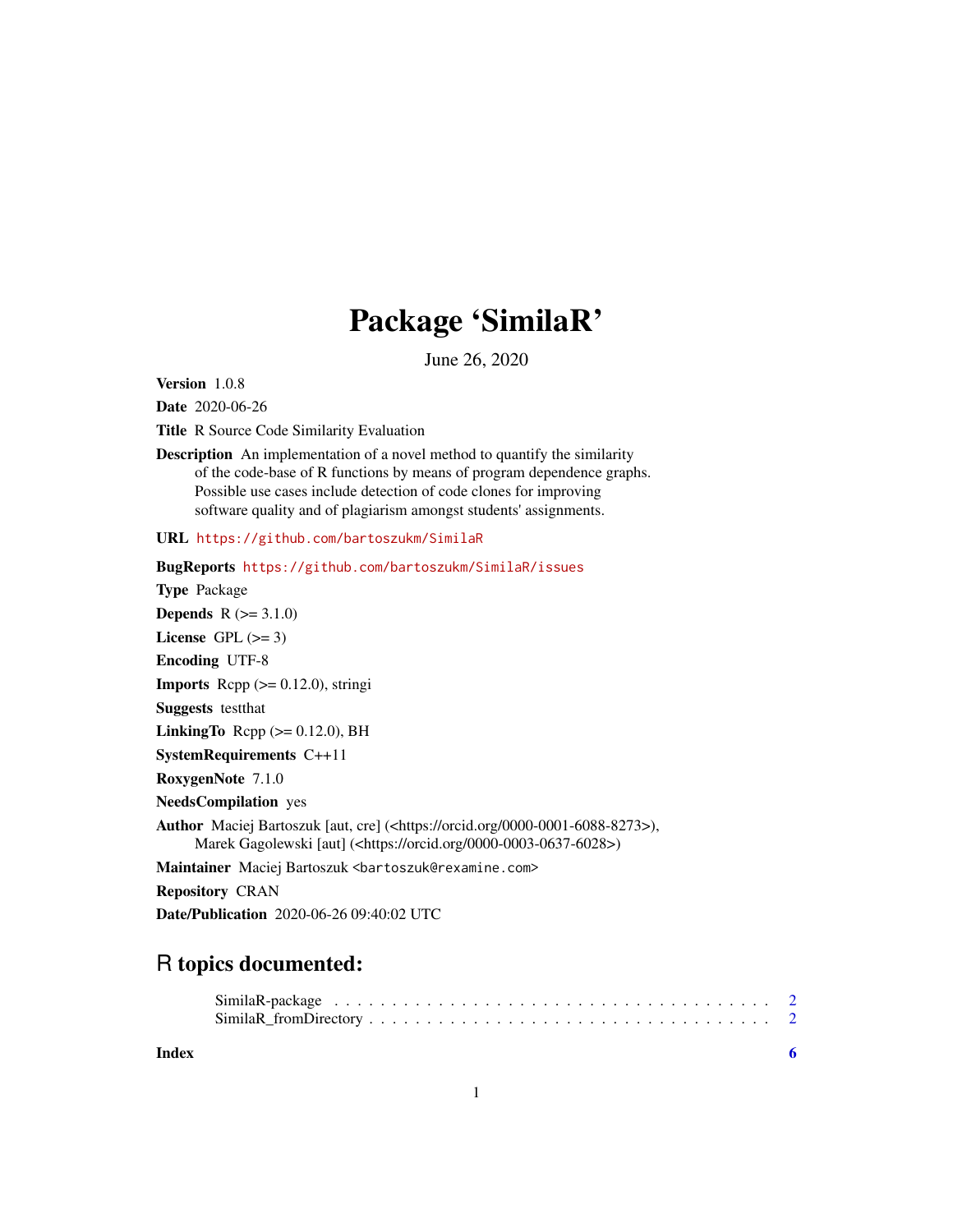## Package 'SimilaR'

June 26, 2020

Version 1.0.8

Date 2020-06-26

Title R Source Code Similarity Evaluation

Description An implementation of a novel method to quantify the similarity of the code-base of R functions by means of program dependence graphs. Possible use cases include detection of code clones for improving software quality and of plagiarism amongst students' assignments.

URL <https://github.com/bartoszukm/SimilaR>

BugReports <https://github.com/bartoszukm/SimilaR/issues> Type Package **Depends**  $R (=3.1.0)$ License GPL  $(>= 3)$ Encoding UTF-8 **Imports** Rcpp  $(>= 0.12.0)$ , stringi Suggests testthat LinkingTo  $\text{Rcpp}$  ( $\geq 0.12.0$ ), BH SystemRequirements C++11 RoxygenNote 7.1.0 NeedsCompilation yes Author Maciej Bartoszuk [aut, cre] (<https://orcid.org/0000-0001-6088-8273>), Marek Gagolewski [aut] (<https://orcid.org/0000-0003-0637-6028>) Maintainer Maciej Bartoszuk <bartoszuk@rexamine.com> Repository CRAN

#### Date/Publication 2020-06-26 09:40:02 UTC

### R topics documented:

| Index |  |
|-------|--|

#### 1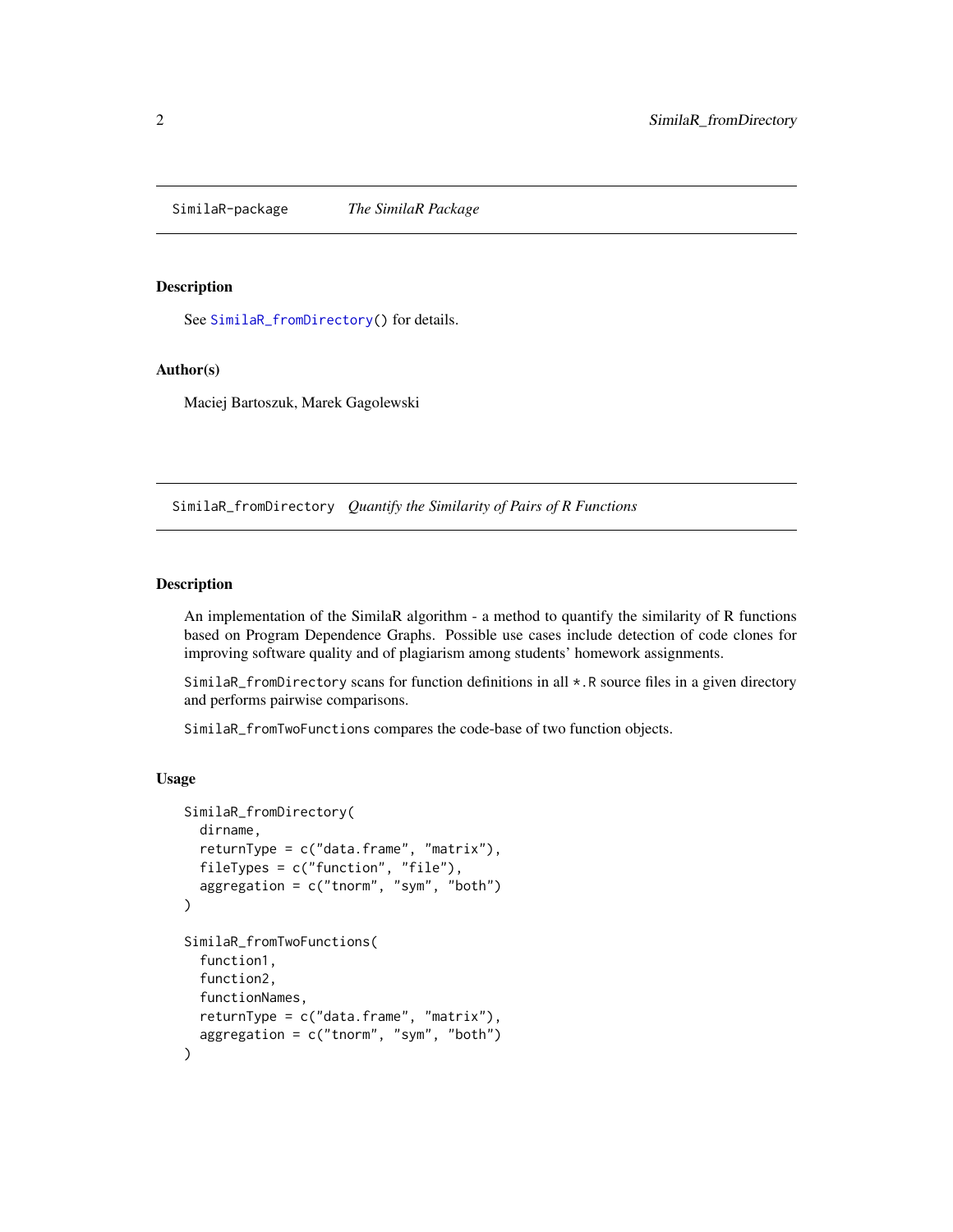<span id="page-1-0"></span>SimilaR-package *The SimilaR Package*

#### **Description**

See [SimilaR\\_fromDirectory\(](#page-1-1)) for details.

#### Author(s)

Maciej Bartoszuk, Marek Gagolewski

<span id="page-1-1"></span>SimilaR\_fromDirectory *Quantify the Similarity of Pairs of R Functions*

#### Description

An implementation of the SimilaR algorithm - a method to quantify the similarity of R functions based on Program Dependence Graphs. Possible use cases include detection of code clones for improving software quality and of plagiarism among students' homework assignments.

SimilaR\_fromDirectory scans for function definitions in all  $\star$ . R source files in a given directory and performs pairwise comparisons.

SimilaR\_fromTwoFunctions compares the code-base of two function objects.

#### Usage

```
SimilaR_fromDirectory(
  dirname,
  returnType = c("data-frame", "matrix"),
  fileTypes = c("function", "file"),
  aggregation = c("tnorm", "sym", "both")
)
SimilaR_fromTwoFunctions(
  function1,
  function2,
  functionNames,
  returnType = c("data.frame", "matrix"),
  aggregation = c("tnorm", "sym", "both")
)
```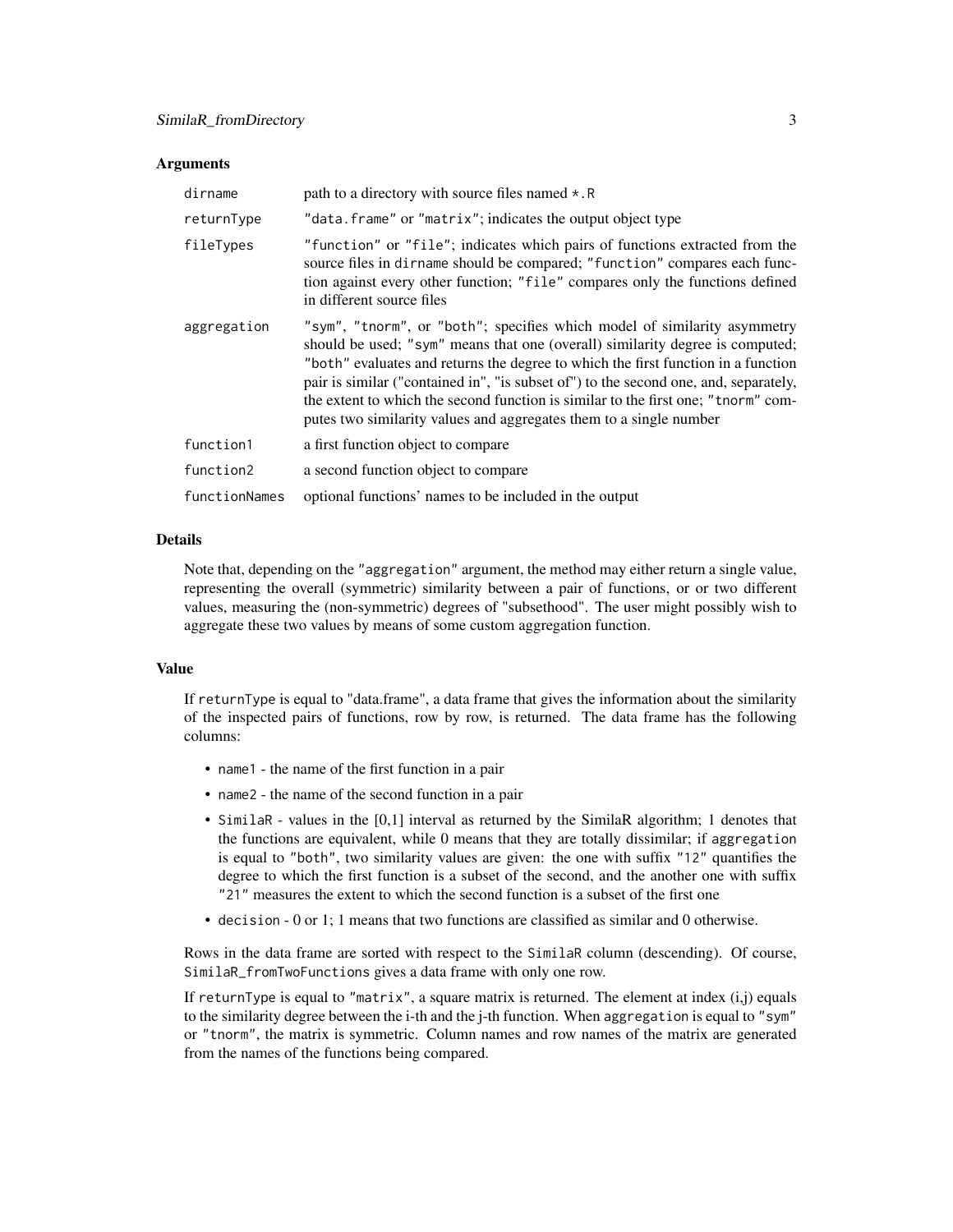#### **Arguments**

| dirname       | path to a directory with source files named $\star$ . R                                                                                                                                                                                                                                                                                                                                                                                                                                           |
|---------------|---------------------------------------------------------------------------------------------------------------------------------------------------------------------------------------------------------------------------------------------------------------------------------------------------------------------------------------------------------------------------------------------------------------------------------------------------------------------------------------------------|
| returnType    | "data.frame" or "matrix"; indicates the output object type                                                                                                                                                                                                                                                                                                                                                                                                                                        |
| fileTypes     | "function" or "file"; indicates which pairs of functions extracted from the<br>source files in dirname should be compared; "function" compares each func-<br>tion against every other function; "file" compares only the functions defined<br>in different source files                                                                                                                                                                                                                           |
| aggregation   | "sym", "tnorm", or "both"; specifies which model of similarity asymmetry<br>should be used; "sym" means that one (overall) similarity degree is computed;<br>"both" evaluates and returns the degree to which the first function in a function<br>pair is similar ("contained in", "is subset of") to the second one, and, separately,<br>the extent to which the second function is similar to the first one; "tnorm" com-<br>putes two similarity values and aggregates them to a single number |
| function1     | a first function object to compare                                                                                                                                                                                                                                                                                                                                                                                                                                                                |
| function2     | a second function object to compare                                                                                                                                                                                                                                                                                                                                                                                                                                                               |
| functionNames | optional functions' names to be included in the output                                                                                                                                                                                                                                                                                                                                                                                                                                            |

#### Details

Note that, depending on the "aggregation" argument, the method may either return a single value, representing the overall (symmetric) similarity between a pair of functions, or or two different values, measuring the (non-symmetric) degrees of "subsethood". The user might possibly wish to aggregate these two values by means of some custom aggregation function.

#### Value

If returnType is equal to "data.frame", a data frame that gives the information about the similarity of the inspected pairs of functions, row by row, is returned. The data frame has the following columns:

- name1 the name of the first function in a pair
- name2 the name of the second function in a pair
- SimilaR values in the [0,1] interval as returned by the SimilaR algorithm; 1 denotes that the functions are equivalent, while 0 means that they are totally dissimilar; if aggregation is equal to "both", two similarity values are given: the one with suffix "12" quantifies the degree to which the first function is a subset of the second, and the another one with suffix "21" measures the extent to which the second function is a subset of the first one
- decision 0 or 1; 1 means that two functions are classified as similar and 0 otherwise.

Rows in the data frame are sorted with respect to the SimilaR column (descending). Of course, SimilaR\_fromTwoFunctions gives a data frame with only one row.

If returnType is equal to "matrix", a square matrix is returned. The element at index  $(i,j)$  equals to the similarity degree between the i-th and the j-th function. When aggregation is equal to "sym" or "tnorm", the matrix is symmetric. Column names and row names of the matrix are generated from the names of the functions being compared.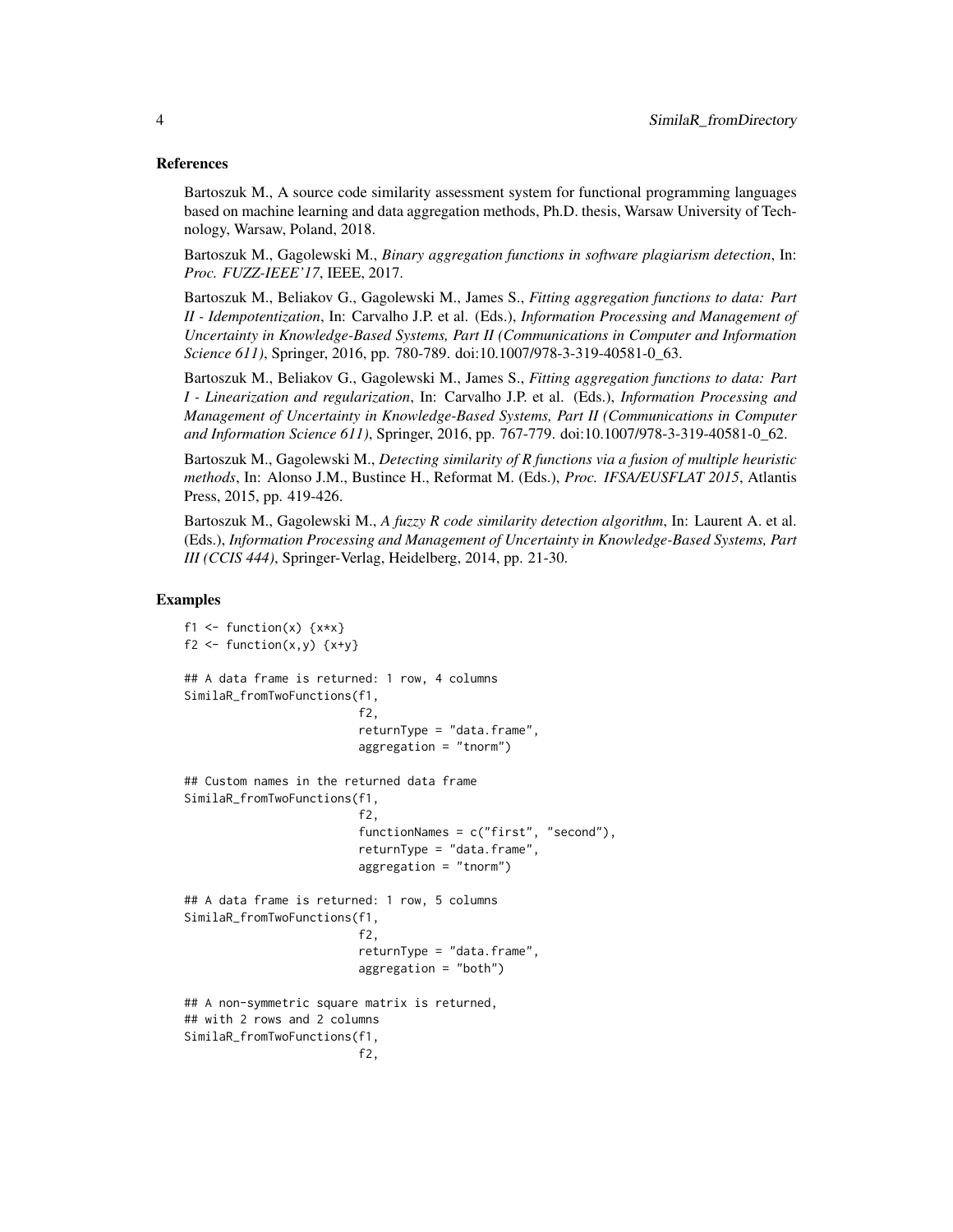#### References

Bartoszuk M., A source code similarity assessment system for functional programming languages based on machine learning and data aggregation methods, Ph.D. thesis, Warsaw University of Technology, Warsaw, Poland, 2018.

Bartoszuk M., Gagolewski M., *Binary aggregation functions in software plagiarism detection*, In: *Proc. FUZZ-IEEE'17*, IEEE, 2017.

Bartoszuk M., Beliakov G., Gagolewski M., James S., *Fitting aggregation functions to data: Part II - Idempotentization*, In: Carvalho J.P. et al. (Eds.), *Information Processing and Management of Uncertainty in Knowledge-Based Systems, Part II (Communications in Computer and Information Science 611)*, Springer, 2016, pp. 780-789. doi:10.1007/978-3-319-40581-0\_63.

Bartoszuk M., Beliakov G., Gagolewski M., James S., *Fitting aggregation functions to data: Part I - Linearization and regularization*, In: Carvalho J.P. et al. (Eds.), *Information Processing and Management of Uncertainty in Knowledge-Based Systems, Part II (Communications in Computer and Information Science 611)*, Springer, 2016, pp. 767-779. doi:10.1007/978-3-319-40581-0\_62.

Bartoszuk M., Gagolewski M., *Detecting similarity of R functions via a fusion of multiple heuristic methods*, In: Alonso J.M., Bustince H., Reformat M. (Eds.), *Proc. IFSA/EUSFLAT 2015*, Atlantis Press, 2015, pp. 419-426.

Bartoszuk M., Gagolewski M., *A fuzzy R code similarity detection algorithm*, In: Laurent A. et al. (Eds.), *Information Processing and Management of Uncertainty in Knowledge-Based Systems, Part III (CCIS 444)*, Springer-Verlag, Heidelberg, 2014, pp. 21-30.

#### Examples

```
f1 \leftarrow function(x) \{x*x\}f2 \leftarrow function(x,y) {x+y}
## A data frame is returned: 1 row, 4 columns
SimilaR_fromTwoFunctions(f1,
                          f2,
                          returnType = "data.frame",
                          aggregation = "tnorm")
## Custom names in the returned data frame
SimilaR_fromTwoFunctions(f1,
                          f2,
                          functionNames = c("first", "second"),
                          returnType = "data.frame",
                          aggregation = "tnorm")
## A data frame is returned: 1 row, 5 columns
SimilaR_fromTwoFunctions(f1,
                          f2,
                          returnType = "data.frame",
                          aggregation = "both")
## A non-symmetric square matrix is returned,
## with 2 rows and 2 columns
SimilaR_fromTwoFunctions(f1,
                          f2,
```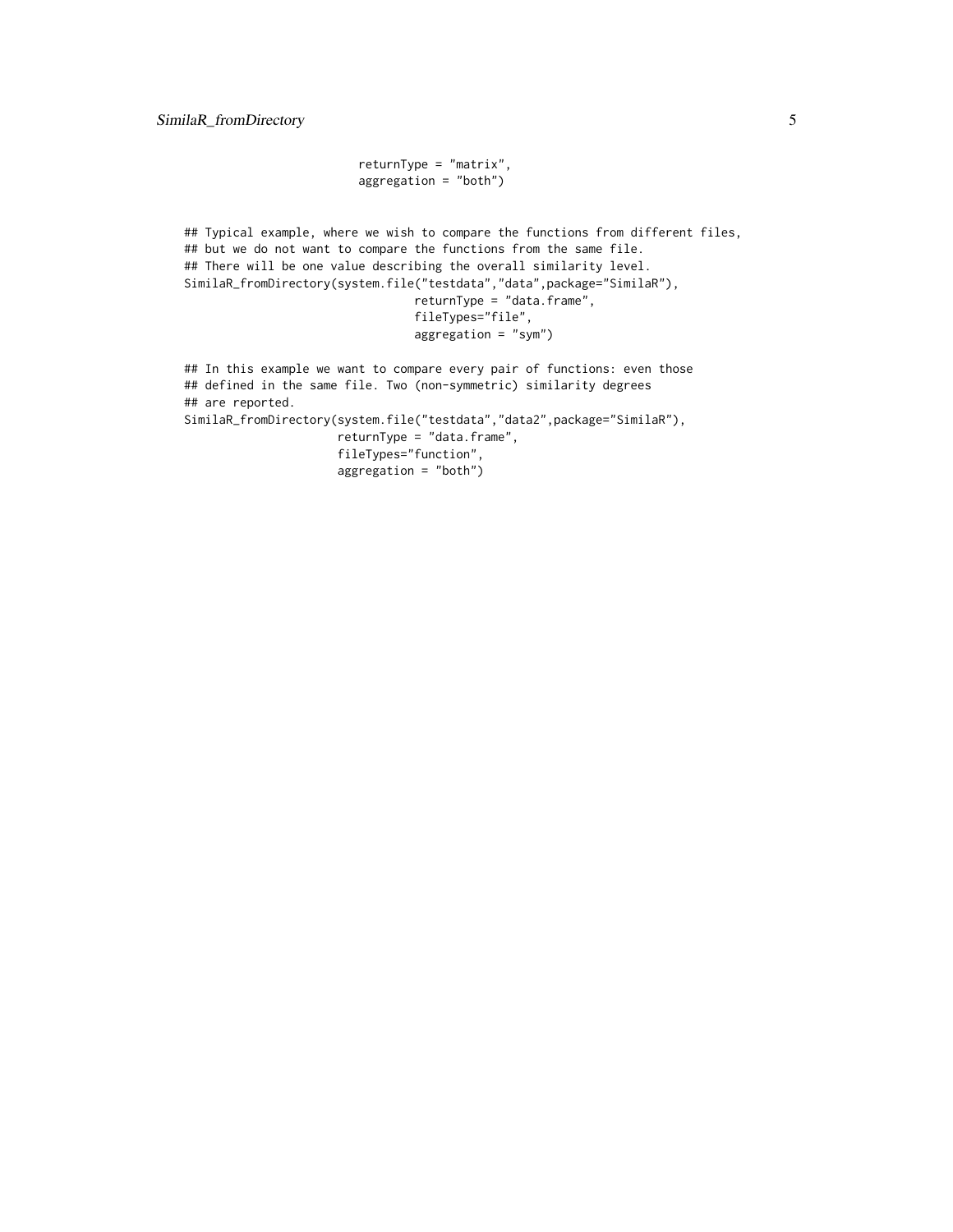```
returnType = "matrix",
aggregation = "both")
```
## Typical example, where we wish to compare the functions from different files, ## but we do not want to compare the functions from the same file. ## There will be one value describing the overall similarity level. SimilaR\_fromDirectory(system.file("testdata","data",package="SimilaR"), returnType = "data.frame", fileTypes="file", aggregation = "sym") ## In this example we want to compare every pair of functions: even those

## defined in the same file. Two (non-symmetric) similarity degrees ## are reported. SimilaR\_fromDirectory(system.file("testdata","data2",package="SimilaR"), returnType = "data.frame", fileTypes="function", aggregation = "both")